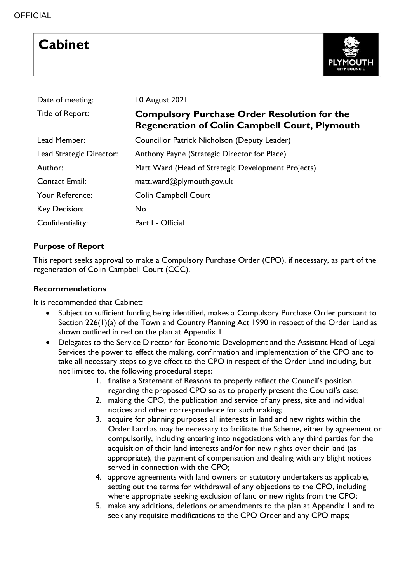# **Cabinet**



| Date of meeting:         | 10 August 2021                                                                                               |  |  |  |  |  |  |
|--------------------------|--------------------------------------------------------------------------------------------------------------|--|--|--|--|--|--|
| Title of Report:         | <b>Compulsory Purchase Order Resolution for the</b><br><b>Regeneration of Colin Campbell Court, Plymouth</b> |  |  |  |  |  |  |
| Lead Member:             | Councillor Patrick Nicholson (Deputy Leader)                                                                 |  |  |  |  |  |  |
| Lead Strategic Director: | Anthony Payne (Strategic Director for Place)                                                                 |  |  |  |  |  |  |
| Author:                  | Matt Ward (Head of Strategic Development Projects)                                                           |  |  |  |  |  |  |
| <b>Contact Email:</b>    | matt.ward@plymouth.gov.uk                                                                                    |  |  |  |  |  |  |
| Your Reference:          | <b>Colin Campbell Court</b>                                                                                  |  |  |  |  |  |  |
| Key Decision:            | No                                                                                                           |  |  |  |  |  |  |
| Confidentiality:         | Part I - Official                                                                                            |  |  |  |  |  |  |

# **Purpose of Report**

This report seeks approval to make a Compulsory Purchase Order (CPO), if necessary, as part of the regeneration of Colin Campbell Court (CCC).

### **Recommendations**

It is recommended that Cabinet:

- Subject to sufficient funding being identified, makes a Compulsory Purchase Order pursuant to Section 226(1)(a) of the Town and Country Planning Act 1990 in respect of the Order Land as shown outlined in red on the plan at Appendix 1.
- Delegates to the Service Director for Economic Development and the Assistant Head of Legal Services the power to effect the making, confirmation and implementation of the CPO and to take all necessary steps to give effect to the CPO in respect of the Order Land including, but not limited to, the following procedural steps:
	- 1. finalise a Statement of Reasons to properly reflect the Council's position regarding the proposed CPO so as to properly present the Council's case;
	- 2. making the CPO, the publication and service of any press, site and individual notices and other correspondence for such making;
	- 3. acquire for planning purposes all interests in land and new rights within the Order Land as may be necessary to facilitate the Scheme, either by agreement or compulsorily, including entering into negotiations with any third parties for the acquisition of their land interests and/or for new rights over their land (as appropriate), the payment of compensation and dealing with any blight notices served in connection with the CPO;
	- 4. approve agreements with land owners or statutory undertakers as applicable, setting out the terms for withdrawal of any objections to the CPO, including where appropriate seeking exclusion of land or new rights from the CPO;
	- 5. make any additions, deletions or amendments to the plan at Appendix 1 and to seek any requisite modifications to the CPO Order and any CPO maps;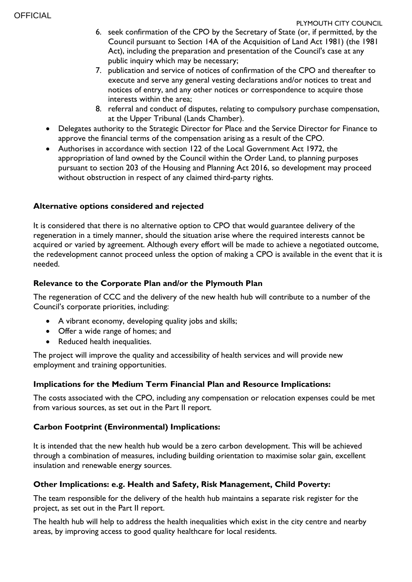- 6. seek confirmation of the CPO by the Secretary of State (or, if permitted, by the Council pursuant to Section 14A of the Acquisition of Land Act 1981) (the 1981 Act), including the preparation and presentation of the Council's case at any public inquiry which may be necessary;
- 7. publication and service of notices of confirmation of the CPO and thereafter to execute and serve any general vesting declarations and/or notices to treat and notices of entry, and any other notices or correspondence to acquire those interests within the area;
- 8. referral and conduct of disputes, relating to compulsory purchase compensation, at the Upper Tribunal (Lands Chamber).
- Delegates authority to the Strategic Director for Place and the Service Director for Finance to approve the financial terms of the compensation arising as a result of the CPO.
- Authorises in accordance with section 122 of the Local Government Act 1972, the appropriation of land owned by the Council within the Order Land, to planning purposes pursuant to section 203 of the Housing and Planning Act 2016, so development may proceed without obstruction in respect of any claimed third-party rights.

# **Alternative options considered and rejected**

It is considered that there is no alternative option to CPO that would guarantee delivery of the regeneration in a timely manner, should the situation arise where the required interests cannot be acquired or varied by agreement. Although every effort will be made to achieve a negotiated outcome, the redevelopment cannot proceed unless the option of making a CPO is available in the event that it is needed.

# **Relevance to the Corporate Plan and/or the Plymouth Plan**

The regeneration of CCC and the delivery of the new health hub will contribute to a number of the Council's corporate priorities, including:

- A vibrant economy, developing quality jobs and skills;
- Offer a wide range of homes; and
- Reduced health inequalities.

The project will improve the quality and accessibility of health services and will provide new employment and training opportunities.

# **Implications for the Medium Term Financial Plan and Resource Implications:**

The costs associated with the CPO, including any compensation or relocation expenses could be met from various sources, as set out in the Part II report.

# **Carbon Footprint (Environmental) Implications:**

It is intended that the new health hub would be a zero carbon development. This will be achieved through a combination of measures, including building orientation to maximise solar gain, excellent insulation and renewable energy sources.

# **Other Implications: e.g. Health and Safety, Risk Management, Child Poverty:**

The team responsible for the delivery of the health hub maintains a separate risk register for the project, as set out in the Part II report.

The health hub will help to address the health inequalities which exist in the city centre and nearby areas, by improving access to good quality healthcare for local residents.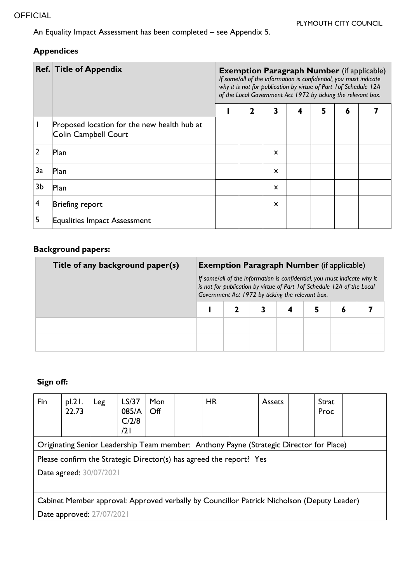An Equality Impact Assessment has been completed – see Appendix 5.

# **Appendices**

|                | <b>Ref. Title of Appendix</b>                                       | <b>Exemption Paragraph Number</b> (if applicable)<br>If some/all of the information is confidential, you must indicate<br>why it is not for publication by virtue of Part 1 of Schedule 12A<br>of the Local Government Act 1972 by ticking the relevant box. |   |                           |   |   |   |  |  |  |
|----------------|---------------------------------------------------------------------|--------------------------------------------------------------------------------------------------------------------------------------------------------------------------------------------------------------------------------------------------------------|---|---------------------------|---|---|---|--|--|--|
|                |                                                                     |                                                                                                                                                                                                                                                              | 2 | 3                         | 4 | 5 | 6 |  |  |  |
|                | Proposed location for the new health hub at<br>Colin Campbell Court |                                                                                                                                                                                                                                                              |   |                           |   |   |   |  |  |  |
| 2              | Plan                                                                |                                                                                                                                                                                                                                                              |   | $\mathsf{x}$              |   |   |   |  |  |  |
| 3a             | Plan                                                                |                                                                                                                                                                                                                                                              |   | $\mathsf{x}$              |   |   |   |  |  |  |
| 3b             | Plan                                                                |                                                                                                                                                                                                                                                              |   | $\mathsf{x}$              |   |   |   |  |  |  |
| $\overline{4}$ | Briefing report                                                     |                                                                                                                                                                                                                                                              |   | $\boldsymbol{\mathsf{x}}$ |   |   |   |  |  |  |
|                | <b>Equalities Impact Assessment</b>                                 |                                                                                                                                                                                                                                                              |   |                           |   |   |   |  |  |  |

# **Background papers:**

| Title of any background paper(s) | <b>Exemption Paragraph Number</b> (if applicable)<br>If some/all of the information is confidential, you must indicate why it<br>is not for publication by virtue of Part 1 of Schedule 12A of the Local<br>Government Act 1972 by ticking the relevant box. |  |  |  |  |   |  |  |
|----------------------------------|--------------------------------------------------------------------------------------------------------------------------------------------------------------------------------------------------------------------------------------------------------------|--|--|--|--|---|--|--|
|                                  |                                                                                                                                                                                                                                                              |  |  |  |  | O |  |  |
|                                  |                                                                                                                                                                                                                                                              |  |  |  |  |   |  |  |
|                                  |                                                                                                                                                                                                                                                              |  |  |  |  |   |  |  |

# **Sign off:**

| Fin                                                                                        | $p$ . 21.<br>22.73 | Leg | LS/37<br>085/A<br>C/2/8<br>/2 I | <b>Mon</b><br>Off |  | <b>HR</b> |  | <b>Assets</b> |  | Strat<br>Proc |  |
|--------------------------------------------------------------------------------------------|--------------------|-----|---------------------------------|-------------------|--|-----------|--|---------------|--|---------------|--|
| Originating Senior Leadership Team member: Anthony Payne (Strategic Director for Place)    |                    |     |                                 |                   |  |           |  |               |  |               |  |
| Please confirm the Strategic Director(s) has agreed the report? Yes                        |                    |     |                                 |                   |  |           |  |               |  |               |  |
| Date agreed: 30/07/2021                                                                    |                    |     |                                 |                   |  |           |  |               |  |               |  |
|                                                                                            |                    |     |                                 |                   |  |           |  |               |  |               |  |
| Cabinet Member approval: Approved verbally by Councillor Patrick Nicholson (Deputy Leader) |                    |     |                                 |                   |  |           |  |               |  |               |  |
| Date approved: 27/07/2021                                                                  |                    |     |                                 |                   |  |           |  |               |  |               |  |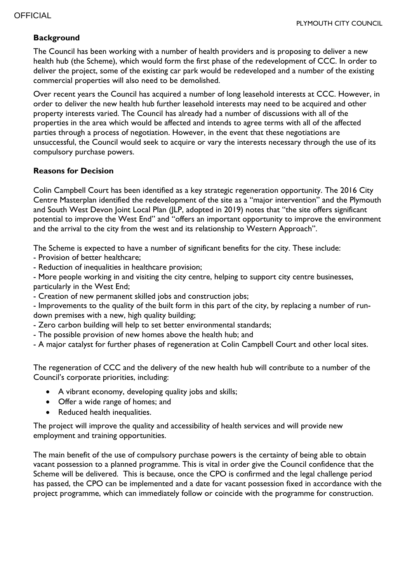#### **Background**

The Council has been working with a number of health providers and is proposing to deliver a new health hub (the Scheme), which would form the first phase of the redevelopment of CCC. In order to deliver the project, some of the existing car park would be redeveloped and a number of the existing commercial properties will also need to be demolished.

Over recent years the Council has acquired a number of long leasehold interests at CCC. However, in order to deliver the new health hub further leasehold interests may need to be acquired and other property interests varied. The Council has already had a number of discussions with all of the properties in the area which would be affected and intends to agree terms with all of the affected parties through a process of negotiation. However, in the event that these negotiations are unsuccessful, the Council would seek to acquire or vary the interests necessary through the use of its compulsory purchase powers.

#### **Reasons for Decision**

Colin Campbell Court has been identified as a key strategic regeneration opportunity. The 2016 City Centre Masterplan identified the redevelopment of the site as a "major intervention" and the Plymouth and South West Devon Joint Local Plan (JLP, adopted in 2019) notes that "the site offers significant potential to improve the West End" and "offers an important opportunity to improve the environment and the arrival to the city from the west and its relationship to Western Approach".

The Scheme is expected to have a number of significant benefits for the city. These include:

- Provision of better healthcare;

- Reduction of inequalities in healthcare provision;

- More people working in and visiting the city centre, helping to support city centre businesses, particularly in the West End;

- Creation of new permanent skilled jobs and construction jobs;

- Improvements to the quality of the built form in this part of the city, by replacing a number of rundown premises with a new, high quality building;

- Zero carbon building will help to set better environmental standards;

- The possible provision of new homes above the health hub; and

- A major catalyst for further phases of regeneration at Colin Campbell Court and other local sites.

The regeneration of CCC and the delivery of the new health hub will contribute to a number of the Council's corporate priorities, including:

- A vibrant economy, developing quality jobs and skills;
- Offer a wide range of homes; and
- Reduced health inequalities.

The project will improve the quality and accessibility of health services and will provide new employment and training opportunities.

The main benefit of the use of compulsory purchase powers is the certainty of being able to obtain vacant possession to a planned programme. This is vital in order give the Council confidence that the Scheme will be delivered. This is because, once the CPO is confirmed and the legal challenge period has passed, the CPO can be implemented and a date for vacant possession fixed in accordance with the project programme, which can immediately follow or coincide with the programme for construction.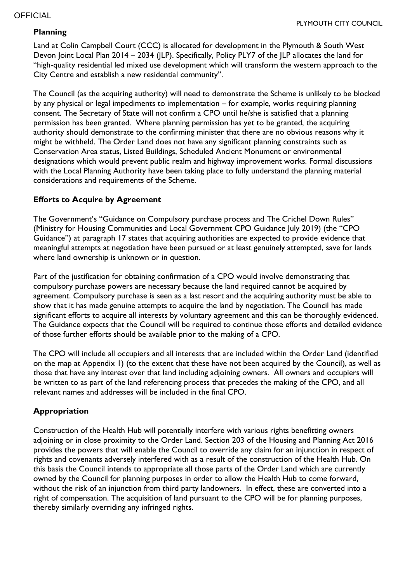#### **OFFICIAL**

#### **Planning**

Land at Colin Campbell Court (CCC) is allocated for development in the Plymouth & South West Devon Joint Local Plan 2014 – 2034 (JLP). Specifically, Policy PLY7 of the JLP allocates the land for "high-quality residential led mixed use development which will transform the western approach to the City Centre and establish a new residential community".

The Council (as the acquiring authority) will need to demonstrate the Scheme is unlikely to be blocked by any physical or legal impediments to implementation – for example, works requiring planning consent. The Secretary of State will not confirm a CPO until he/she is satisfied that a planning permission has been granted. Where planning permission has yet to be granted, the acquiring authority should demonstrate to the confirming minister that there are no obvious reasons why it might be withheld. The Order Land does not have any significant planning constraints such as Conservation Area status, Listed Buildings, Scheduled Ancient Monument or environmental designations which would prevent public realm and highway improvement works. Formal discussions with the Local Planning Authority have been taking place to fully understand the planning material considerations and requirements of the Scheme.

#### **Efforts to Acquire by Agreement**

The Government's "Guidance on Compulsory purchase process and The Crichel Down Rules" (Ministry for Housing Communities and Local Government CPO Guidance July 2019) (the "CPO Guidance") at paragraph 17 states that acquiring authorities are expected to provide evidence that meaningful attempts at negotiation have been pursued or at least genuinely attempted, save for lands where land ownership is unknown or in question.

Part of the justification for obtaining confirmation of a CPO would involve demonstrating that compulsory purchase powers are necessary because the land required cannot be acquired by agreement. Compulsory purchase is seen as a last resort and the acquiring authority must be able to show that it has made genuine attempts to acquire the land by negotiation. The Council has made significant efforts to acquire all interests by voluntary agreement and this can be thoroughly evidenced. The Guidance expects that the Council will be required to continue those efforts and detailed evidence of those further efforts should be available prior to the making of a CPO.

The CPO will include all occupiers and all interests that are included within the Order Land (identified on the map at Appendix 1) (to the extent that these have not been acquired by the Council), as well as those that have any interest over that land including adjoining owners. All owners and occupiers will be written to as part of the land referencing process that precedes the making of the CPO, and all relevant names and addresses will be included in the final CPO.

#### **Appropriation**

Construction of the Health Hub will potentially interfere with various rights benefitting owners adjoining or in close proximity to the Order Land. Section 203 of the Housing and Planning Act 2016 provides the powers that will enable the Council to override any claim for an injunction in respect of rights and covenants adversely interfered with as a result of the construction of the Health Hub. On this basis the Council intends to appropriate all those parts of the Order Land which are currently owned by the Council for planning purposes in order to allow the Health Hub to come forward, without the risk of an injunction from third party landowners. In effect, these are converted into a right of compensation. The acquisition of land pursuant to the CPO will be for planning purposes, thereby similarly overriding any infringed rights.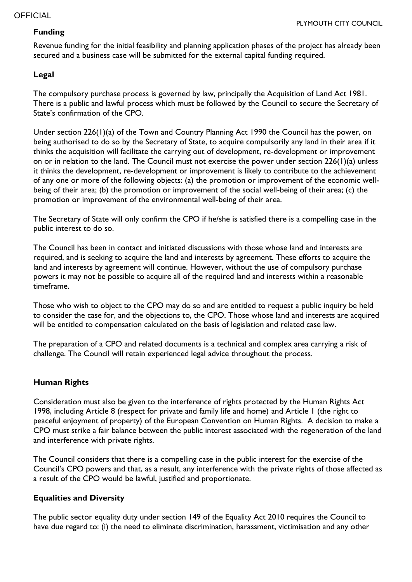#### PLYMOUTH CITY COUNCIL

#### **Funding**

Revenue funding for the initial feasibility and planning application phases of the project has already been secured and a business case will be submitted for the external capital funding required.

# **Legal**

The compulsory purchase process is governed by law, principally the Acquisition of Land Act 1981. There is a public and lawful process which must be followed by the Council to secure the Secretary of State's confirmation of the CPO.

Under section 226(1)(a) of the Town and Country Planning Act 1990 the Council has the power, on being authorised to do so by the Secretary of State, to acquire compulsorily any land in their area if it thinks the acquisition will facilitate the carrying out of development, re-development or improvement on or in relation to the land. The Council must not exercise the power under section 226(1)(a) unless it thinks the development, re-development or improvement is likely to contribute to the achievement of any one or more of the following objects: (a) the promotion or improvement of the economic wellbeing of their area; (b) the promotion or improvement of the social well-being of their area; (c) the promotion or improvement of the environmental well-being of their area.

The Secretary of State will only confirm the CPO if he/she is satisfied there is a compelling case in the public interest to do so.

The Council has been in contact and initiated discussions with those whose land and interests are required, and is seeking to acquire the land and interests by agreement. These efforts to acquire the land and interests by agreement will continue. However, without the use of compulsory purchase powers it may not be possible to acquire all of the required land and interests within a reasonable timeframe.

Those who wish to object to the CPO may do so and are entitled to request a public inquiry be held to consider the case for, and the objections to, the CPO. Those whose land and interests are acquired will be entitled to compensation calculated on the basis of legislation and related case law.

The preparation of a CPO and related documents is a technical and complex area carrying a risk of challenge. The Council will retain experienced legal advice throughout the process.

#### **Human Rights**

Consideration must also be given to the interference of rights protected by the Human Rights Act 1998, including Article 8 (respect for private and family life and home) and Article 1 (the right to peaceful enjoyment of property) of the European Convention on Human Rights. A decision to make a CPO must strike a fair balance between the public interest associated with the regeneration of the land and interference with private rights.

The Council considers that there is a compelling case in the public interest for the exercise of the Council's CPO powers and that, as a result, any interference with the private rights of those affected as a result of the CPO would be lawful, justified and proportionate.

#### **Equalities and Diversity**

The public sector equality duty under section 149 of the Equality Act 2010 requires the Council to have due regard to: (i) the need to eliminate discrimination, harassment, victimisation and any other